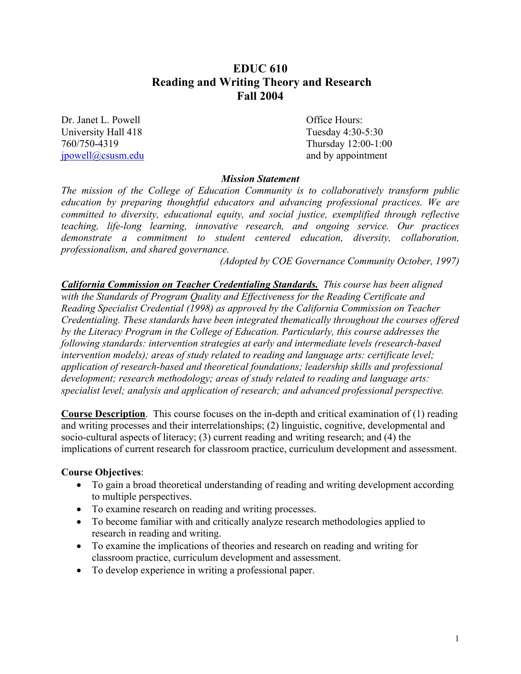# **EDUC 610 Reading and Writing Theory and Research Fall 2004**

Dr. Janet L. Powell **Dr. Janet L. Powell Office Hours:** University Hall 418 Tuesday 4:30-5:30  $ipowell@csusm.edu$  and by appointment

760/750-4319 Thursday 12:00-1:00

#### *Mission Statement*

*The mission of the College of Education Community is to collaboratively transform public education by preparing thoughtful educators and advancing professional practices. We are committed to diversity, educational equity, and social justice, exemplified through reflective teaching, life-long learning, innovative research, and ongoing service. Our practices demonstrate a commitment to student centered education, diversity, collaboration, professionalism, and shared governance.* 

*(Adopted by COE Governance Community October, 1997)* 

*California Commission on Teacher Credentialing Standards. This course has been aligned with the Standards of Program Quality and Effectiveness for the Reading Certificate and Reading Specialist Credential (1998) as approved by the California Commission on Teacher Credentialing. These standards have been integrated thematically throughout the courses offered by the Literacy Program in the College of Education. Particularly, this course addresses the following standards: intervention strategies at early and intermediate levels (research-based intervention models); areas of study related to reading and language arts: certificate level; application of research-based and theoretical foundations; leadership skills and professional development; research methodology; areas of study related to reading and language arts: specialist level; analysis and application of research; and advanced professional perspective.* 

**Course Description**. This course focuses on the in-depth and critical examination of (1) reading and writing processes and their interrelationships; (2) linguistic, cognitive, developmental and socio-cultural aspects of literacy; (3) current reading and writing research; and (4) the implications of current research for classroom practice, curriculum development and assessment.

#### **Course Objectives**:

- To gain a broad theoretical understanding of reading and writing development according to multiple perspectives.
- To examine research on reading and writing processes.
- To become familiar with and critically analyze research methodologies applied to research in reading and writing.
- To examine the implications of theories and research on reading and writing for classroom practice, curriculum development and assessment.
- To develop experience in writing a professional paper.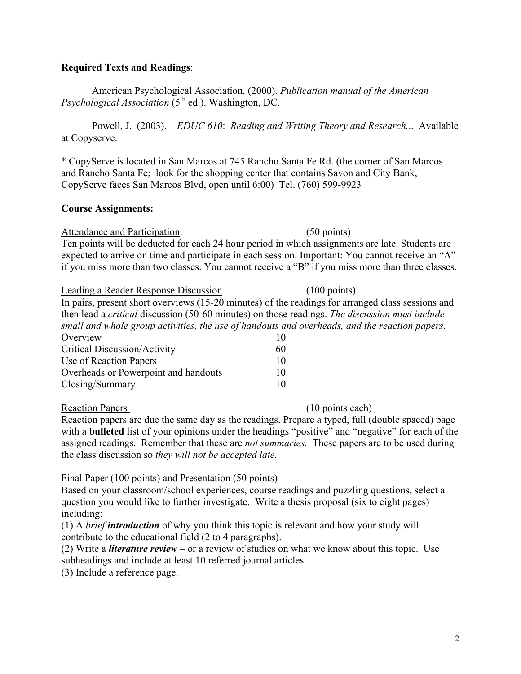### **Required Texts and Readings**:

American Psychological Association. (2000). *Publication manual of the American Psychological Association* (5th ed.). Washington, DC.

Powell, J. (2003). *EDUC 610*: *Reading and Writing Theory and Research.*.. Available at Copyserve.

\* CopyServe is located in San Marcos at 745 Rancho Santa Fe Rd. (the corner of San Marcos and Rancho Santa Fe; look for the shopping center that contains Savon and City Bank, CopyServe faces San Marcos Blvd, open until 6:00) Tel. (760) 599-9923

## **Course Assignments:**

Attendance and Participation: (50 points)

Ten points will be deducted for each 24 hour period in which assignments are late. Students are expected to arrive on time and participate in each session. Important: You cannot receive an "A" if you miss more than two classes. You cannot receive a "B" if you miss more than three classes.

| Leading a Reader Response Discussion | $(100 \text{ points})$                                                                                |
|--------------------------------------|-------------------------------------------------------------------------------------------------------|
|                                      | In pairs, present short overviews (15-20 minutes) of the readings for arranged class sessions and     |
|                                      | then lead a <i>critical</i> discussion (50-60 minutes) on those readings. The discussion must include |
|                                      | small and whole group activities, the use of handouts and overheads, and the reaction papers.         |
| Overview                             |                                                                                                       |
| <b>Critical Discussion/Activity</b>  | 60                                                                                                    |

| CHUCAL DISCUSSION/ACTIVITY           | $\cdots$ |
|--------------------------------------|----------|
| Use of Reaction Papers               | 10       |
| Overheads or Powerpoint and handouts | 10.      |
| Closing/Summary                      | 10       |

Reaction Papers (10 points each)

Reaction papers are due the same day as the readings. Prepare a typed, full (double spaced) page with a **bulleted** list of your opinions under the headings "positive" and "negative" for each of the assigned readings. Remember that these are *not summaries.* These papers are to be used during the class discussion so *they will not be accepted late.* 

Final Paper (100 points) and Presentation (50 points)

Based on your classroom/school experiences, course readings and puzzling questions, select a question you would like to further investigate. Write a thesis proposal (six to eight pages) including:

(1) A *brief introduction* of why you think this topic is relevant and how your study will contribute to the educational field (2 to 4 paragraphs).

(2) Write a *literature review* – or a review of studies on what we know about this topic. Use subheadings and include at least 10 referred journal articles.

(3) Include a reference page.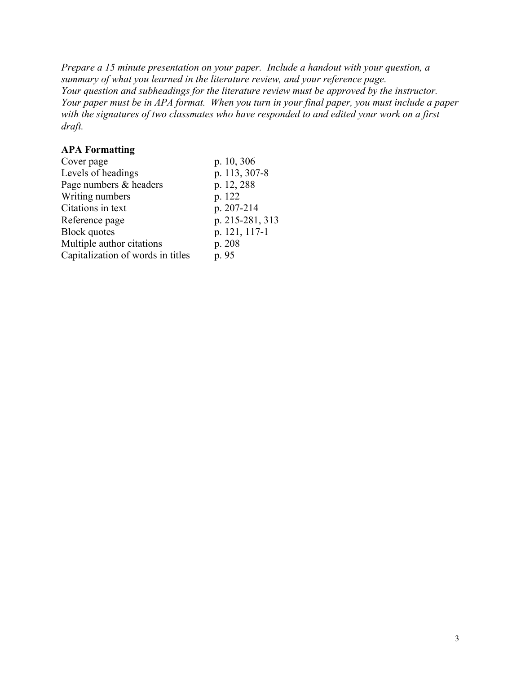*Prepare a 15 minute presentation on your paper. Include a handout with your question, a summary of what you learned in the literature review, and your reference page. Your question and subheadings for the literature review must be approved by the instructor. Your paper must be in APA format. When you turn in your final paper, you must include a paper with the signatures of two classmates who have responded to and edited your work on a first draft.* 

#### **APA Formatting**

| Cover page                        | p. 10, 306      |
|-----------------------------------|-----------------|
| Levels of headings                | p. 113, 307-8   |
| Page numbers & headers            | p. 12, 288      |
| Writing numbers                   | p. 122          |
| Citations in text                 | p. 207-214      |
| Reference page                    | p. 215-281, 313 |
| <b>Block</b> quotes               | p. 121, 117-1   |
| Multiple author citations         | p. 208          |
| Capitalization of words in titles | p. 95           |
|                                   |                 |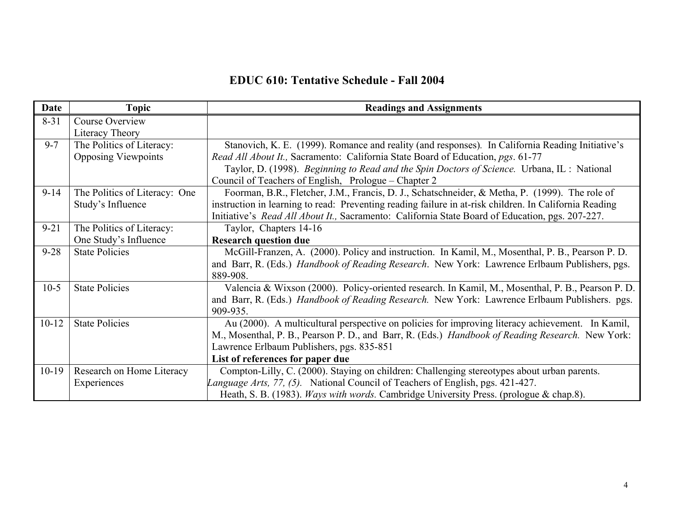### **EDUC 610: Tentative Schedule - Fall 2004**

| Date      | <b>Topic</b>                  | <b>Readings and Assignments</b>                                                                        |
|-----------|-------------------------------|--------------------------------------------------------------------------------------------------------|
| $8 - 31$  | Course Overview               |                                                                                                        |
|           | Literacy Theory               |                                                                                                        |
| $9 - 7$   | The Politics of Literacy:     | Stanovich, K. E. (1999). Romance and reality (and responses). In California Reading Initiative's       |
|           | <b>Opposing Viewpoints</b>    | Read All About It., Sacramento: California State Board of Education, pgs. 61-77                        |
|           |                               | Taylor, D. (1998). Beginning to Read and the Spin Doctors of Science. Urbana, IL: National             |
|           |                               | Council of Teachers of English, Prologue – Chapter 2                                                   |
| $9 - 14$  | The Politics of Literacy: One | Foorman, B.R., Fletcher, J.M., Francis, D. J., Schatschneider, & Metha, P. (1999). The role of         |
|           | Study's Influence             | instruction in learning to read: Preventing reading failure in at-risk children. In California Reading |
|           |                               | Initiative's Read All About It., Sacramento: California State Board of Education, pgs. 207-227.        |
| $9 - 21$  | The Politics of Literacy:     | Taylor, Chapters 14-16                                                                                 |
|           | One Study's Influence         | <b>Research question due</b>                                                                           |
| $9 - 28$  | <b>State Policies</b>         | McGill-Franzen, A. (2000). Policy and instruction. In Kamil, M., Mosenthal, P. B., Pearson P. D.       |
|           |                               | and Barr, R. (Eds.) <i>Handbook of Reading Research</i> . New York: Lawrence Erlbaum Publishers, pgs.  |
|           |                               | 889-908.                                                                                               |
| $10-5$    | <b>State Policies</b>         | Valencia & Wixson (2000). Policy-oriented research. In Kamil, M., Mosenthal, P. B., Pearson P. D.      |
|           |                               | and Barr, R. (Eds.) Handbook of Reading Research. New York: Lawrence Erlbaum Publishers. pgs.          |
|           |                               | 909-935.                                                                                               |
| $10 - 12$ | <b>State Policies</b>         | Au (2000). A multicultural perspective on policies for improving literacy achievement. In Kamil,       |
|           |                               | M., Mosenthal, P. B., Pearson P. D., and Barr, R. (Eds.) Handbook of Reading Research. New York:       |
|           |                               | Lawrence Erlbaum Publishers, pgs. 835-851                                                              |
|           |                               | List of references for paper due                                                                       |
| $10-19$   | Research on Home Literacy     | Compton-Lilly, C. (2000). Staying on children: Challenging stereotypes about urban parents.            |
|           | Experiences                   | Language Arts, 77, (5). National Council of Teachers of English, pgs. 421-427.                         |
|           |                               | Heath, S. B. (1983). Ways with words. Cambridge University Press. (prologue & chap.8).                 |